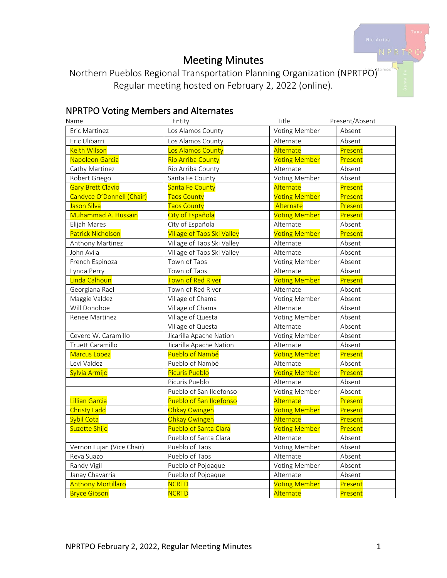# Meeting Minutes

Northern Pueblos Regional Transportation Planning Organization (NPRTPO) Regular meeting hosted on February 2, 2022 (online).

## NPRTPO Voting Members and Alternates

| Name                      | Entity                            | Title                | Present/Absent |
|---------------------------|-----------------------------------|----------------------|----------------|
| Eric Martinez             | Los Alamos County                 | Voting Member        | Absent         |
| Eric Ulibarri             | Los Alamos County                 | Alternate            | Absent         |
| <b>Keith Wilson</b>       | Los Alamos County                 | Alternate            | Present        |
| Napoleon Garcia           | <b>Rio Arriba County</b>          | <b>Voting Member</b> | Present        |
| Cathy Martinez            | Rio Arriba County                 | Alternate            | Absent         |
| Robert Griego             | Santa Fe County                   | Voting Member        | Absent         |
| Gary Brett Clavio         | Santa Fe County                   | Alternate            | Present        |
| Candyce O'Donnell (Chair) | <b>Taos County</b>                | <b>Voting Member</b> | Present        |
| Jason Silva               | <b>Taos County</b>                | Alternate            | Present        |
| Muhammad A. Hussain       | City of Española                  | <b>Voting Member</b> | Present        |
| Elijah Mares              | City of Española                  | Alternate            | Absent         |
| <b>Patrick Nicholson</b>  | <b>Village of Taos Ski Valley</b> | <b>Voting Member</b> | Present        |
| Anthony Martinez          | Village of Taos Ski Valley        | Alternate            | Absent         |
| John Avila                | Village of Taos Ski Valley        | Alternate            | Absent         |
| French Espinoza           | Town of Taos                      | Voting Member        | Absent         |
| Lynda Perry               | Town of Taos                      | Alternate            | Absent         |
| Linda Calhoun             | Town of Red River                 | <b>Voting Member</b> | Present        |
| Georgiana Rael            | Town of Red River                 | Alternate            | Absent         |
| Maggie Valdez             | Village of Chama                  | Voting Member        | Absent         |
| Will Donohoe              | Village of Chama                  | Alternate            | Absent         |
| Renee Martinez            | Village of Questa                 | Voting Member        | Absent         |
|                           | Village of Questa                 | Alternate            | Absent         |
| Cevero W. Caramillo       | Jicarilla Apache Nation           | Voting Member        | Absent         |
| <b>Truett Caramillo</b>   | Jicarilla Apache Nation           | Alternate            | Absent         |
| <b>Marcus Lopez</b>       | Pueblo of Nambé                   | <b>Voting Member</b> | Present        |
| Levi Valdez               | Pueblo of Nambé                   | Alternate            | Absent         |
| Sylvia Armijo             | <b>Picuris Pueblo</b>             | <b>Voting Member</b> | Present        |
|                           | Picuris Pueblo                    | Alternate            | Absent         |
|                           | Pueblo of San Ildefonso           | Voting Member        | Absent         |
| <b>Lillian Garcia</b>     | Pueblo of San Ildefonso           | Alternate            | Present        |
| <b>Christy Ladd</b>       | Ohkay Owingeh                     | <b>Voting Member</b> | Present        |
| <b>Sybil Cota</b>         | Ohkay Owingeh                     | Alternate            | Present        |
| Suzette Shije             | Pueblo of Santa Clara             | <b>Voting Member</b> | Present        |
|                           | Pueblo of Santa Clara             | Alternate            | Absent         |
| Vernon Lujan (Vice Chair) | Pueblo of Taos                    | Voting Member        | Absent         |
| Reva Suazo                | Pueblo of Taos                    | Alternate            | Absent         |
| Randy Vigil               | Pueblo of Pojoaque                | Voting Member        | Absent         |
| Janay Chavarria           | Pueblo of Pojoaque                | Alternate            | Absent         |
| <b>Anthony Mortillaro</b> | <b>NCRTD</b>                      | <b>Voting Member</b> | Present        |
| <b>Bryce Gibson</b>       | <b>NCRTD</b>                      | Alternate            | Present        |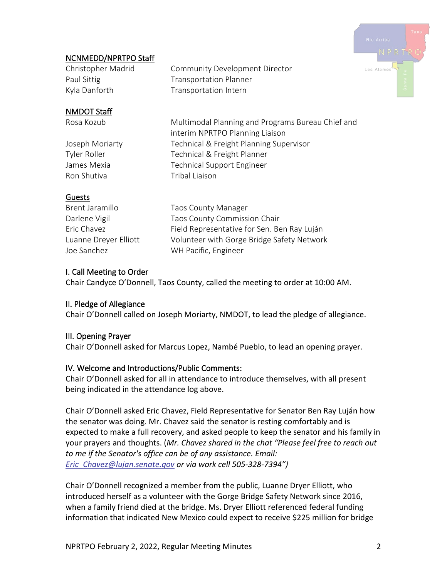

## NCNMEDD/NPRTPO Staff

Christopher Madrid Community Development Director Paul Sittig Transportation Planner Kyla Danforth Transportation Intern

## NMDOT Staff

Ron Shutiva **Tribal Liaison** 

Rosa Kozub Multimodal Planning and Programs Bureau Chief and interim NPRTPO Planning Liaison Joseph Moriarty Technical & Freight Planning Supervisor Tyler Roller Technical & Freight Planner James Mexia **Technical Support Engineer** 

### **Guests**

| Brent Jaramillo       | <b>Taos County Manager</b>                  |
|-----------------------|---------------------------------------------|
| Darlene Vigil         | Taos County Commission Chair                |
| Eric Chavez           | Field Representative for Sen. Ben Ray Luján |
| Luanne Dreyer Elliott | Volunteer with Gorge Bridge Safety Network  |
| Joe Sanchez           | WH Pacific, Engineer                        |
|                       |                                             |

## I. Call Meeting to Order

Chair Candyce O'Donnell, Taos County, called the meeting to order at 10:00 AM.

#### II. Pledge of Allegiance

Chair O'Donnell called on Joseph Moriarty, NMDOT, to lead the pledge of allegiance.

#### III. Opening Prayer

Chair O'Donnell asked for Marcus Lopez, Nambé Pueblo, to lead an opening prayer.

## IV. Welcome and Introductions/Public Comments:

Chair O'Donnell asked for all in attendance to introduce themselves, with all present being indicated in the attendance log above.

Chair O'Donnell asked Eric Chavez, Field Representative for Senator Ben Ray Luján how the senator was doing. Mr. Chavez said the senator is resting comfortably and is expected to make a full recovery, and asked people to keep the senator and his family in your prayers and thoughts. (*Mr. Chavez shared in the chat "Please feel free to reach out to me if the Senator's office can be of any assistance. Email: [Eric\\_Chavez@lujan.senate.gov](mailto:Eric_Chavez@lujan.senate.gov) or via work cell 505-328-7394")*

Chair O'Donnell recognized a member from the public, Luanne Dryer Elliott, who introduced herself as a volunteer with the Gorge Bridge Safety Network since 2016, when a family friend died at the bridge. Ms. Dryer Elliott referenced federal funding information that indicated New Mexico could expect to receive \$225 million for bridge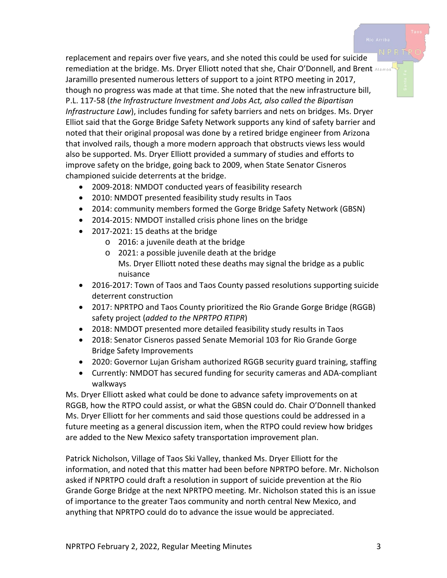replacement and repairs over five years, and she noted this could be used for suicide remediation at the bridge. Ms. Dryer Elliott noted that she, Chair O'Donnell, and Brent Alamos Jaramillo presented numerous letters of support to a joint RTPO meeting in 2017, though no progress was made at that time. She noted that the new infrastructure bill, P.L. 117-58 (*the Infrastructure Investment and Jobs Act, also called the Bipartisan Infrastructure Law*), includes funding for safety barriers and nets on bridges. Ms. Dryer Elliot said that the Gorge Bridge Safety Network supports any kind of safety barrier and noted that their original proposal was done by a retired bridge engineer from Arizona that involved rails, though a more modern approach that obstructs views less would also be supported. Ms. Dryer Elliott provided a summary of studies and efforts to improve safety on the bridge, going back to 2009, when State Senator Cisneros championed suicide deterrents at the bridge.

- 2009-2018: NMDOT conducted years of feasibility research
- 2010: NMDOT presented feasibility study results in Taos
- 2014: community members formed the Gorge Bridge Safety Network (GBSN)
- 2014-2015: NMDOT installed crisis phone lines on the bridge
- 2017-2021: 15 deaths at the bridge
	- o 2016: a juvenile death at the bridge
	- o 2021: a possible juvenile death at the bridge Ms. Dryer Elliott noted these deaths may signal the bridge as a public nuisance
- 2016-2017: Town of Taos and Taos County passed resolutions supporting suicide deterrent construction
- 2017: NPRTPO and Taos County prioritized the Rio Grande Gorge Bridge (RGGB) safety project (*added to the NPRTPO RTIPR*)
- 2018: NMDOT presented more detailed feasibility study results in Taos
- 2018: Senator Cisneros passed Senate Memorial 103 for Rio Grande Gorge Bridge Safety Improvements
- 2020: Governor Lujan Grisham authorized RGGB security guard training, staffing
- Currently: NMDOT has secured funding for security cameras and ADA-compliant walkways

Ms. Dryer Elliott asked what could be done to advance safety improvements on at RGGB, how the RTPO could assist, or what the GBSN could do. Chair O'Donnell thanked Ms. Dryer Elliott for her comments and said those questions could be addressed in a future meeting as a general discussion item, when the RTPO could review how bridges are added to the New Mexico safety transportation improvement plan.

Patrick Nicholson, Village of Taos Ski Valley, thanked Ms. Dryer Elliott for the information, and noted that this matter had been before NPRTPO before. Mr. Nicholson asked if NPRTPO could draft a resolution in support of suicide prevention at the Rio Grande Gorge Bridge at the next NPRTPO meeting. Mr. Nicholson stated this is an issue of importance to the greater Taos community and north central New Mexico, and anything that NPRTPO could do to advance the issue would be appreciated.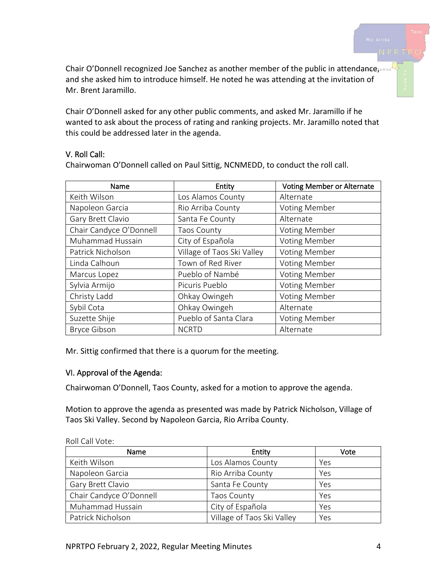Chair O'Donnell recognized Joe Sanchez as another member of the public in attendance and she asked him to introduce himself. He noted he was attending at the invitation of Mr. Brent Jaramillo.

Chair O'Donnell asked for any other public comments, and asked Mr. Jaramillo if he wanted to ask about the process of rating and ranking projects. Mr. Jaramillo noted that this could be addressed later in the agenda.

#### V. Roll Call:

| Name                    | Entity                     | <b>Voting Member or Alternate</b> |
|-------------------------|----------------------------|-----------------------------------|
| Keith Wilson            | Los Alamos County          | Alternate                         |
| Napoleon Garcia         | Rio Arriba County          | Voting Member                     |
| Gary Brett Clavio       | Santa Fe County            | Alternate                         |
| Chair Candyce O'Donnell | <b>Taos County</b>         | <b>Voting Member</b>              |
| Muhammad Hussain        | City of Española           | <b>Voting Member</b>              |
| Patrick Nicholson       | Village of Taos Ski Valley | <b>Voting Member</b>              |
| Linda Calhoun           | Town of Red River          | <b>Voting Member</b>              |
| Marcus Lopez            | Pueblo of Nambé            | <b>Voting Member</b>              |
| Sylvia Armijo           | Picuris Pueblo             | <b>Voting Member</b>              |
| Christy Ladd            | Ohkay Owingeh              | <b>Voting Member</b>              |
| Sybil Cota              | Ohkay Owingeh              | Alternate                         |
| Suzette Shije           | Pueblo of Santa Clara      | <b>Voting Member</b>              |
| <b>Bryce Gibson</b>     | <b>NCRTD</b>               | Alternate                         |

Chairwoman O'Donnell called on Paul Sittig, NCNMEDD, to conduct the roll call.

Mr. Sittig confirmed that there is a quorum for the meeting.

#### VI. Approval of the Agenda:

Chairwoman O'Donnell, Taos County, asked for a motion to approve the agenda.

Motion to approve the agenda as presented was made by Patrick Nicholson, Village of Taos Ski Valley. Second by Napoleon Garcia, Rio Arriba County.

| Name                    | Entity                     | Vote |
|-------------------------|----------------------------|------|
| Keith Wilson            | Los Alamos County          | Yes  |
| Napoleon Garcia         | Rio Arriba County          | Yes  |
| Gary Brett Clavio       | Santa Fe County            | Yes  |
| Chair Candyce O'Donnell | <b>Taos County</b>         | Yes  |
| Muhammad Hussain        | City of Española           | Yes  |
| Patrick Nicholson       | Village of Taos Ski Valley | Yes  |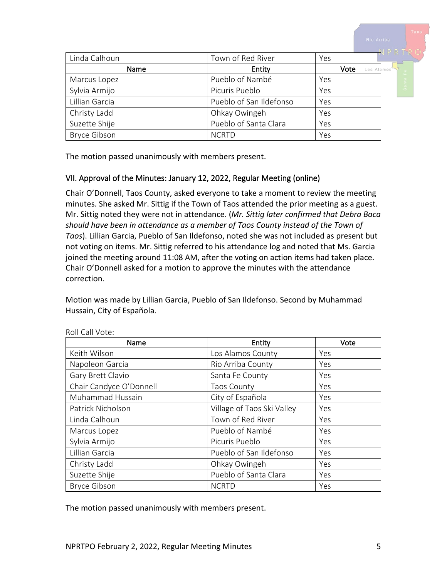|                     |                         |      | NPRTRC     |
|---------------------|-------------------------|------|------------|
| Linda Calhoun       | Town of Red River       | Yes  |            |
| Name                | Entity                  | Vote | Los Alamos |
| Marcus Lopez        | Pueblo of Nambé         | Yes  | Santa I    |
| Sylvia Armijo       | Picuris Pueblo          | Yes  |            |
| Lillian Garcia      | Pueblo of San Ildefonso | Yes  |            |
| Christy Ladd        | Ohkay Owingeh           | Yes  |            |
| Suzette Shije       | Pueblo of Santa Clara   | Yes  |            |
| <b>Bryce Gibson</b> | <b>NCRTD</b>            | Yes  |            |

The motion passed unanimously with members present.

### VII. Approval of the Minutes: January 12, 2022, Regular Meeting (online)

Chair O'Donnell, Taos County, asked everyone to take a moment to review the meeting minutes. She asked Mr. Sittig if the Town of Taos attended the prior meeting as a guest. Mr. Sittig noted they were not in attendance. (*Mr. Sittig later confirmed that Debra Baca should have been in attendance as a member of Taos County instead of the Town of Taos*). Lillian Garcia, Pueblo of San Ildefonso, noted she was not included as present but not voting on items. Mr. Sittig referred to his attendance log and noted that Ms. Garcia joined the meeting around 11:08 AM, after the voting on action items had taken place. Chair O'Donnell asked for a motion to approve the minutes with the attendance correction.

Motion was made by Lillian Garcia, Pueblo of San Ildefonso. Second by Muhammad Hussain, City of Española.

| Name                    | Entity                     | Vote |
|-------------------------|----------------------------|------|
| Keith Wilson            | Los Alamos County          | Yes  |
| Napoleon Garcia         | Rio Arriba County          | Yes  |
| Gary Brett Clavio       | Santa Fe County            | Yes  |
| Chair Candyce O'Donnell | <b>Taos County</b>         | Yes  |
| Muhammad Hussain        | City of Española           | Yes  |
| Patrick Nicholson       | Village of Taos Ski Valley | Yes  |
| Linda Calhoun           | Town of Red River          | Yes  |
| Marcus Lopez            | Pueblo of Nambé            | Yes  |
| Sylvia Armijo           | Picuris Pueblo             | Yes  |
| Lillian Garcia          | Pueblo of San Ildefonso    | Yes  |
| Christy Ladd            | Ohkay Owingeh              | Yes  |
| Suzette Shije           | Pueblo of Santa Clara      | Yes  |
| <b>Bryce Gibson</b>     | <b>NCRTD</b>               | Yes  |

Roll Call Vote:

The motion passed unanimously with members present.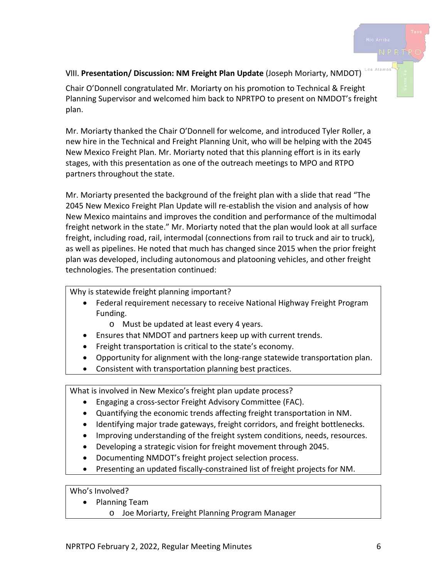#### VIII. **Presentation/ Discussion: NM Freight Plan Update** (Joseph Moriarty, NMDOT)

Chair O'Donnell congratulated Mr. Moriarty on his promotion to Technical & Freight Planning Supervisor and welcomed him back to NPRTPO to present on NMDOT's freight plan.

Mr. Moriarty thanked the Chair O'Donnell for welcome, and introduced Tyler Roller, a new hire in the Technical and Freight Planning Unit, who will be helping with the 2045 New Mexico Freight Plan. Mr. Moriarty noted that this planning effort is in its early stages, with this presentation as one of the outreach meetings to MPO and RTPO partners throughout the state.

Mr. Moriarty presented the background of the freight plan with a slide that read "The 2045 New Mexico Freight Plan Update will re-establish the vision and analysis of how New Mexico maintains and improves the condition and performance of the multimodal freight network in the state." Mr. Moriarty noted that the plan would look at all surface freight, including road, rail, intermodal (connections from rail to truck and air to truck), as well as pipelines. He noted that much has changed since 2015 when the prior freight plan was developed, including autonomous and platooning vehicles, and other freight technologies. The presentation continued:

Why is statewide freight planning important?

- Federal requirement necessary to receive National Highway Freight Program Funding.
	- o Must be updated at least every 4 years.
- Ensures that NMDOT and partners keep up with current trends.
- Freight transportation is critical to the state's economy.
- Opportunity for alignment with the long-range statewide transportation plan.
- Consistent with transportation planning best practices.

What is involved in New Mexico's freight plan update process?

- Engaging a cross-sector Freight Advisory Committee (FAC).
- Quantifying the economic trends affecting freight transportation in NM.
- Identifying major trade gateways, freight corridors, and freight bottlenecks.
- Improving understanding of the freight system conditions, needs, resources.
- Developing a strategic vision for freight movement through 2045.
- Documenting NMDOT's freight project selection process.
- Presenting an updated fiscally-constrained list of freight projects for NM.

Who's Involved?

- Planning Team
	- o Joe Moriarty, Freight Planning Program Manager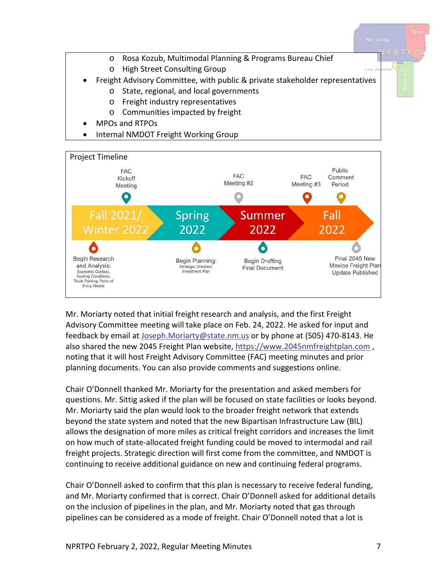



Mr. Moriarty noted that initial freight research and analysis, and the first Freight Advisory Committee meeting will take place on Feb. 24, 2022. He asked for input and feedback by email at [Joseph.Moriarty@state.nm.us](mailto:Joseph.Moriarty@state.nm.us) or by phone at (505) 470-8143. He also shared the new 2045 Freight Plan website[, https://www.2045nmfreightplan.com](https://www.2045nmfreightplan.com/) , noting that it will host Freight Advisory Committee (FAC) meeting minutes and prior planning documents. You can also provide comments and suggestions online.

Chair O'Donnell thanked Mr. Moriarty for the presentation and asked members for questions. Mr. Sittig asked if the plan will be focused on state facilities or looks beyond. Mr. Moriarty said the plan would look to the broader freight network that extends beyond the state system and noted that the new Bipartisan Infrastructure Law (BIL) allows the designation of more miles as critical freight corridors and increases the limit on how much of state-allocated freight funding could be moved to intermodal and rail freight projects. Strategic direction will first come from the committee, and NMDOT is continuing to receive additional guidance on new and continuing federal programs.

Chair O'Donnell asked to confirm that this plan is necessary to receive federal funding, and Mr. Moriarty confirmed that is correct. Chair O'Donnell asked for additional details on the inclusion of pipelines in the plan, and Mr. Moriarty noted that gas through pipelines can be considered as a mode of freight. Chair O'Donnell noted that a lot is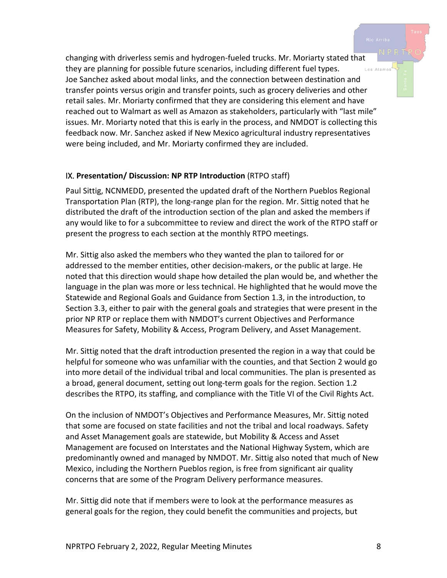changing with driverless semis and hydrogen-fueled trucks. Mr. Moriarty stated that they are planning for possible future scenarios, including different fuel types. .<br>Los Alamos Joe Sanchez asked about modal links, and the connection between destination and transfer points versus origin and transfer points, such as grocery deliveries and other retail sales. Mr. Moriarty confirmed that they are considering this element and have reached out to Walmart as well as Amazon as stakeholders, particularly with "last mile" issues. Mr. Moriarty noted that this is early in the process, and NMDOT is collecting this feedback now. Mr. Sanchez asked if New Mexico agricultural industry representatives were being included, and Mr. Moriarty confirmed they are included.

#### IX. **Presentation/ Discussion: NP RTP Introduction** (RTPO staff)

Paul Sittig, NCNMEDD, presented the updated draft of the Northern Pueblos Regional Transportation Plan (RTP), the long-range plan for the region. Mr. Sittig noted that he distributed the draft of the introduction section of the plan and asked the members if any would like to for a subcommittee to review and direct the work of the RTPO staff or present the progress to each section at the monthly RTPO meetings.

Mr. Sittig also asked the members who they wanted the plan to tailored for or addressed to the member entities, other decision-makers, or the public at large. He noted that this direction would shape how detailed the plan would be, and whether the language in the plan was more or less technical. He highlighted that he would move the Statewide and Regional Goals and Guidance from Section 1.3, in the introduction, to Section 3.3, either to pair with the general goals and strategies that were present in the prior NP RTP or replace them with NMDOT's current Objectives and Performance Measures for Safety, Mobility & Access, Program Delivery, and Asset Management.

Mr. Sittig noted that the draft introduction presented the region in a way that could be helpful for someone who was unfamiliar with the counties, and that Section 2 would go into more detail of the individual tribal and local communities. The plan is presented as a broad, general document, setting out long-term goals for the region. Section 1.2 describes the RTPO, its staffing, and compliance with the Title VI of the Civil Rights Act.

On the inclusion of NMDOT's Objectives and Performance Measures, Mr. Sittig noted that some are focused on state facilities and not the tribal and local roadways. Safety and Asset Management goals are statewide, but Mobility & Access and Asset Management are focused on Interstates and the National Highway System, which are predominantly owned and managed by NMDOT. Mr. Sittig also noted that much of New Mexico, including the Northern Pueblos region, is free from significant air quality concerns that are some of the Program Delivery performance measures.

Mr. Sittig did note that if members were to look at the performance measures as general goals for the region, they could benefit the communities and projects, but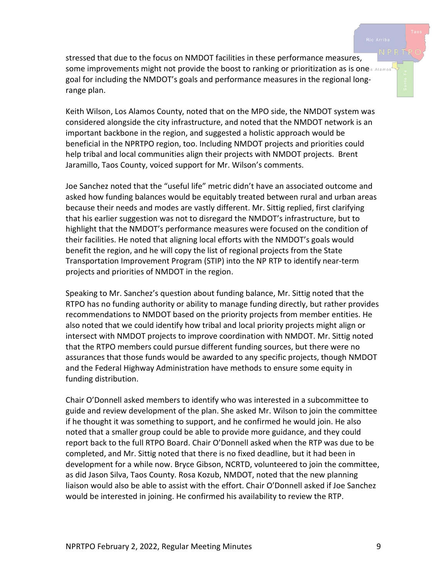stressed that due to the focus on NMDOT facilities in these performance measures, some improvements might not provide the boost to ranking or prioritization as is one goal for including the NMDOT's goals and performance measures in the regional longrange plan.

Keith Wilson, Los Alamos County, noted that on the MPO side, the NMDOT system was considered alongside the city infrastructure, and noted that the NMDOT network is an important backbone in the region, and suggested a holistic approach would be beneficial in the NPRTPO region, too. Including NMDOT projects and priorities could help tribal and local communities align their projects with NMDOT projects. Brent Jaramillo, Taos County, voiced support for Mr. Wilson's comments.

Joe Sanchez noted that the "useful life" metric didn't have an associated outcome and asked how funding balances would be equitably treated between rural and urban areas because their needs and modes are vastly different. Mr. Sittig replied, first clarifying that his earlier suggestion was not to disregard the NMDOT's infrastructure, but to highlight that the NMDOT's performance measures were focused on the condition of their facilities. He noted that aligning local efforts with the NMDOT's goals would benefit the region, and he will copy the list of regional projects from the State Transportation Improvement Program (STIP) into the NP RTP to identify near-term projects and priorities of NMDOT in the region.

Speaking to Mr. Sanchez's question about funding balance, Mr. Sittig noted that the RTPO has no funding authority or ability to manage funding directly, but rather provides recommendations to NMDOT based on the priority projects from member entities. He also noted that we could identify how tribal and local priority projects might align or intersect with NMDOT projects to improve coordination with NMDOT. Mr. Sittig noted that the RTPO members could pursue different funding sources, but there were no assurances that those funds would be awarded to any specific projects, though NMDOT and the Federal Highway Administration have methods to ensure some equity in funding distribution.

Chair O'Donnell asked members to identify who was interested in a subcommittee to guide and review development of the plan. She asked Mr. Wilson to join the committee if he thought it was something to support, and he confirmed he would join. He also noted that a smaller group could be able to provide more guidance, and they could report back to the full RTPO Board. Chair O'Donnell asked when the RTP was due to be completed, and Mr. Sittig noted that there is no fixed deadline, but it had been in development for a while now. Bryce Gibson, NCRTD, volunteered to join the committee, as did Jason Silva, Taos County. Rosa Kozub, NMDOT, noted that the new planning liaison would also be able to assist with the effort. Chair O'Donnell asked if Joe Sanchez would be interested in joining. He confirmed his availability to review the RTP.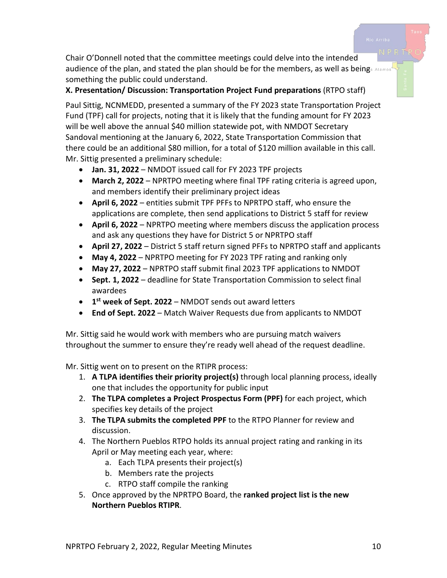Chair O'Donnell noted that the committee meetings could delve into the intended audience of the plan, and stated the plan should be for the members, as well as beings Alamos something the public could understand.

## **X. Presentation/ Discussion: Transportation Project Fund preparations** (RTPO staff)

Paul Sittig, NCNMEDD, presented a summary of the FY 2023 state Transportation Project Fund (TPF) call for projects, noting that it is likely that the funding amount for FY 2023 will be well above the annual \$40 million statewide pot, with NMDOT Secretary Sandoval mentioning at the January 6, 2022, State Transportation Commission that there could be an additional \$80 million, for a total of \$120 million available in this call. Mr. Sittig presented a preliminary schedule:

- **Jan. 31, 2022** NMDOT issued call for FY 2023 TPF projects
- **March 2, 2022** NPRTPO meeting where final TPF rating criteria is agreed upon, and members identify their preliminary project ideas
- **April 6, 2022** entities submit TPF PFFs to NPRTPO staff, who ensure the applications are complete, then send applications to District 5 staff for review
- **April 6, 2022** NPRTPO meeting where members discuss the application process and ask any questions they have for District 5 or NPRTPO staff
- **April 27, 2022** District 5 staff return signed PFFs to NPRTPO staff and applicants
- **May 4, 2022** NPRTPO meeting for FY 2023 TPF rating and ranking only
- **May 27, 2022** NPRTPO staff submit final 2023 TPF applications to NMDOT
- **Sept. 1, 2022** deadline for State Transportation Commission to select final awardees
- **1st week of Sept. 2022** NMDOT sends out award letters
- **End of Sept. 2022** Match Waiver Requests due from applicants to NMDOT

Mr. Sittig said he would work with members who are pursuing match waivers throughout the summer to ensure they're ready well ahead of the request deadline.

Mr. Sittig went on to present on the RTIPR process:

- 1. **A TLPA identifies their priority project(s)** through local planning process, ideally one that includes the opportunity for public input
- 2. **The TLPA completes a Project Prospectus Form (PPF)** for each project, which specifies key details of the project
- 3. **The TLPA submits the completed PPF** to the RTPO Planner for review and discussion.
- 4. The Northern Pueblos RTPO holds its annual project rating and ranking in its April or May meeting each year, where:
	- a. Each TLPA presents their project(s)
	- b. Members rate the projects
	- c. RTPO staff compile the ranking
- 5. Once approved by the NPRTPO Board, the **ranked project list is the new Northern Pueblos RTIPR**.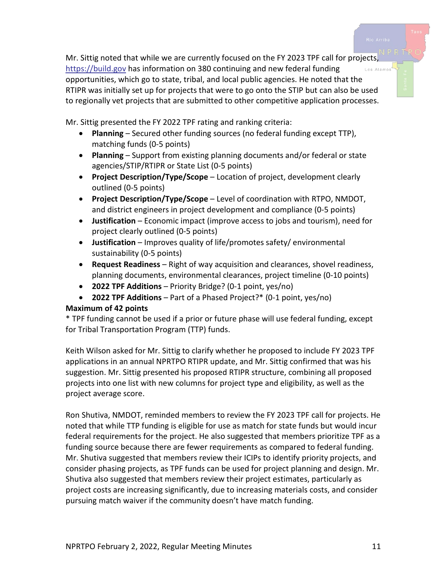Mr. Sittig noted that while we are currently focused on the FY 2023 TPF call for projects, [https://build.gov](https://build.gov/) has information on 380 continuing and new federal funding opportunities, which go to state, tribal, and local public agencies. He noted that the RTIPR was initially set up for projects that were to go onto the STIP but can also be used to regionally vet projects that are submitted to other competitive application processes.

Mr. Sittig presented the FY 2022 TPF rating and ranking criteria:

- **Planning** Secured other funding sources (no federal funding except TTP), matching funds (0-5 points)
- **Planning** Support from existing planning documents and/or federal or state agencies/STIP/RTIPR or State List (0-5 points)
- **Project Description/Type/Scope** Location of project, development clearly outlined (0-5 points)
- **Project Description/Type/Scope** Level of coordination with RTPO, NMDOT, and district engineers in project development and compliance (0-5 points)
- **Justification** Economic impact (improve access to jobs and tourism), need for project clearly outlined (0-5 points)
- **Justification** Improves quality of life/promotes safety/ environmental sustainability (0-5 points)
- **Request Readiness** Right of way acquisition and clearances, shovel readiness, planning documents, environmental clearances, project timeline (0-10 points)
- **2022 TPF Additions** Priority Bridge? (0-1 point, yes/no)
- **2022 TPF Additions** Part of a Phased Project?\* (0-1 point, yes/no)

#### **Maximum of 42 points**

\* TPF funding cannot be used if a prior or future phase will use federal funding, except for Tribal Transportation Program (TTP) funds.

Keith Wilson asked for Mr. Sittig to clarify whether he proposed to include FY 2023 TPF applications in an annual NPRTPO RTIPR update, and Mr. Sittig confirmed that was his suggestion. Mr. Sittig presented his proposed RTIPR structure, combining all proposed projects into one list with new columns for project type and eligibility, as well as the project average score.

Ron Shutiva, NMDOT, reminded members to review the FY 2023 TPF call for projects. He noted that while TTP funding is eligible for use as match for state funds but would incur federal requirements for the project. He also suggested that members prioritize TPF as a funding source because there are fewer requirements as compared to federal funding. Mr. Shutiva suggested that members review their ICIPs to identify priority projects, and consider phasing projects, as TPF funds can be used for project planning and design. Mr. Shutiva also suggested that members review their project estimates, particularly as project costs are increasing significantly, due to increasing materials costs, and consider pursuing match waiver if the community doesn't have match funding.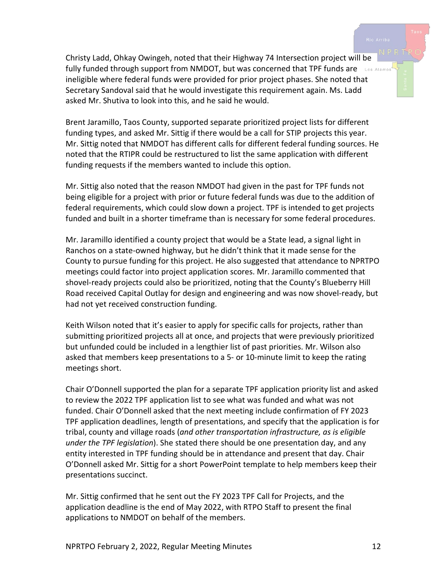Christy Ladd, Ohkay Owingeh, noted that their Highway 74 Intersection project will be fully funded through support from NMDOT, but was concerned that TPF funds are los Alamos ineligible where federal funds were provided for prior project phases. She noted that Secretary Sandoval said that he would investigate this requirement again. Ms. Ladd asked Mr. Shutiva to look into this, and he said he would.

Brent Jaramillo, Taos County, supported separate prioritized project lists for different funding types, and asked Mr. Sittig if there would be a call for STIP projects this year. Mr. Sittig noted that NMDOT has different calls for different federal funding sources. He noted that the RTIPR could be restructured to list the same application with different funding requests if the members wanted to include this option.

Mr. Sittig also noted that the reason NMDOT had given in the past for TPF funds not being eligible for a project with prior or future federal funds was due to the addition of federal requirements, which could slow down a project. TPF is intended to get projects funded and built in a shorter timeframe than is necessary for some federal procedures.

Mr. Jaramillo identified a county project that would be a State lead, a signal light in Ranchos on a state-owned highway, but he didn't think that it made sense for the County to pursue funding for this project. He also suggested that attendance to NPRTPO meetings could factor into project application scores. Mr. Jaramillo commented that shovel-ready projects could also be prioritized, noting that the County's Blueberry Hill Road received Capital Outlay for design and engineering and was now shovel-ready, but had not yet received construction funding.

Keith Wilson noted that it's easier to apply for specific calls for projects, rather than submitting prioritized projects all at once, and projects that were previously prioritized but unfunded could be included in a lengthier list of past priorities. Mr. Wilson also asked that members keep presentations to a 5- or 10-minute limit to keep the rating meetings short.

Chair O'Donnell supported the plan for a separate TPF application priority list and asked to review the 2022 TPF application list to see what was funded and what was not funded. Chair O'Donnell asked that the next meeting include confirmation of FY 2023 TPF application deadlines, length of presentations, and specify that the application is for tribal, county and village roads (*and other transportation infrastructure, as is eligible under the TPF legislation*). She stated there should be one presentation day, and any entity interested in TPF funding should be in attendance and present that day. Chair O'Donnell asked Mr. Sittig for a short PowerPoint template to help members keep their presentations succinct.

Mr. Sittig confirmed that he sent out the FY 2023 TPF Call for Projects, and the application deadline is the end of May 2022, with RTPO Staff to present the final applications to NMDOT on behalf of the members.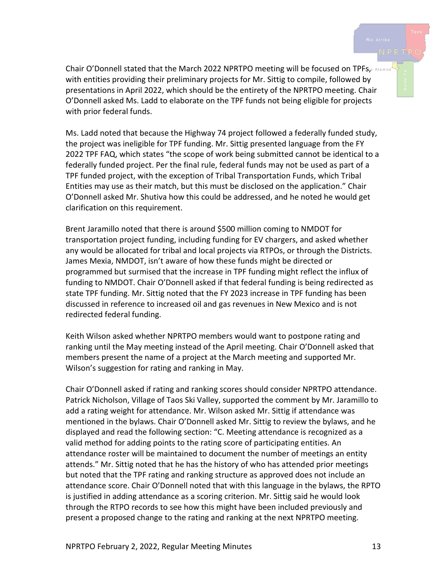Chair O'Donnell stated that the March 2022 NPRTPO meeting will be focused on TPFs, Alamos with entities providing their preliminary projects for Mr. Sittig to compile, followed by presentations in April 2022, which should be the entirety of the NPRTPO meeting. Chair O'Donnell asked Ms. Ladd to elaborate on the TPF funds not being eligible for projects with prior federal funds.

Ms. Ladd noted that because the Highway 74 project followed a federally funded study, the project was ineligible for TPF funding. Mr. Sittig presented language from the FY 2022 TPF FAQ, which states "the scope of work being submitted cannot be identical to a federally funded project. Per the final rule, federal funds may not be used as part of a TPF funded project, with the exception of Tribal Transportation Funds, which Tribal Entities may use as their match, but this must be disclosed on the application." Chair O'Donnell asked Mr. Shutiva how this could be addressed, and he noted he would get clarification on this requirement.

Brent Jaramillo noted that there is around \$500 million coming to NMDOT for transportation project funding, including funding for EV chargers, and asked whether any would be allocated for tribal and local projects via RTPOs, or through the Districts. James Mexia, NMDOT, isn't aware of how these funds might be directed or programmed but surmised that the increase in TPF funding might reflect the influx of funding to NMDOT. Chair O'Donnell asked if that federal funding is being redirected as state TPF funding. Mr. Sittig noted that the FY 2023 increase in TPF funding has been discussed in reference to increased oil and gas revenues in New Mexico and is not redirected federal funding.

Keith Wilson asked whether NPRTPO members would want to postpone rating and ranking until the May meeting instead of the April meeting. Chair O'Donnell asked that members present the name of a project at the March meeting and supported Mr. Wilson's suggestion for rating and ranking in May.

Chair O'Donnell asked if rating and ranking scores should consider NPRTPO attendance. Patrick Nicholson, Village of Taos Ski Valley, supported the comment by Mr. Jaramillo to add a rating weight for attendance. Mr. Wilson asked Mr. Sittig if attendance was mentioned in the bylaws. Chair O'Donnell asked Mr. Sittig to review the bylaws, and he displayed and read the following section: "C. Meeting attendance is recognized as a valid method for adding points to the rating score of participating entities. An attendance roster will be maintained to document the number of meetings an entity attends." Mr. Sittig noted that he has the history of who has attended prior meetings but noted that the TPF rating and ranking structure as approved does not include an attendance score. Chair O'Donnell noted that with this language in the bylaws, the RPTO is justified in adding attendance as a scoring criterion. Mr. Sittig said he would look through the RTPO records to see how this might have been included previously and present a proposed change to the rating and ranking at the next NPRTPO meeting.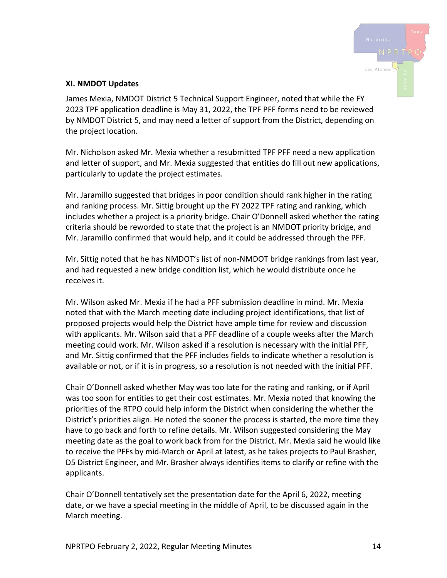

#### **XI. NMDOT Updates**

James Mexia, NMDOT District 5 Technical Support Engineer, noted that while the FY 2023 TPF application deadline is May 31, 2022, the TPF PFF forms need to be reviewed by NMDOT District 5, and may need a letter of support from the District, depending on the project location.

Mr. Nicholson asked Mr. Mexia whether a resubmitted TPF PFF need a new application and letter of support, and Mr. Mexia suggested that entities do fill out new applications, particularly to update the project estimates.

Mr. Jaramillo suggested that bridges in poor condition should rank higher in the rating and ranking process. Mr. Sittig brought up the FY 2022 TPF rating and ranking, which includes whether a project is a priority bridge. Chair O'Donnell asked whether the rating criteria should be reworded to state that the project is an NMDOT priority bridge, and Mr. Jaramillo confirmed that would help, and it could be addressed through the PFF.

Mr. Sittig noted that he has NMDOT's list of non-NMDOT bridge rankings from last year, and had requested a new bridge condition list, which he would distribute once he receives it.

Mr. Wilson asked Mr. Mexia if he had a PFF submission deadline in mind. Mr. Mexia noted that with the March meeting date including project identifications, that list of proposed projects would help the District have ample time for review and discussion with applicants. Mr. Wilson said that a PFF deadline of a couple weeks after the March meeting could work. Mr. Wilson asked if a resolution is necessary with the initial PFF, and Mr. Sittig confirmed that the PFF includes fields to indicate whether a resolution is available or not, or if it is in progress, so a resolution is not needed with the initial PFF.

Chair O'Donnell asked whether May was too late for the rating and ranking, or if April was too soon for entities to get their cost estimates. Mr. Mexia noted that knowing the priorities of the RTPO could help inform the District when considering the whether the District's priorities align. He noted the sooner the process is started, the more time they have to go back and forth to refine details. Mr. Wilson suggested considering the May meeting date as the goal to work back from for the District. Mr. Mexia said he would like to receive the PFFs by mid-March or April at latest, as he takes projects to Paul Brasher, D5 District Engineer, and Mr. Brasher always identifies items to clarify or refine with the applicants.

Chair O'Donnell tentatively set the presentation date for the April 6, 2022, meeting date, or we have a special meeting in the middle of April, to be discussed again in the March meeting.